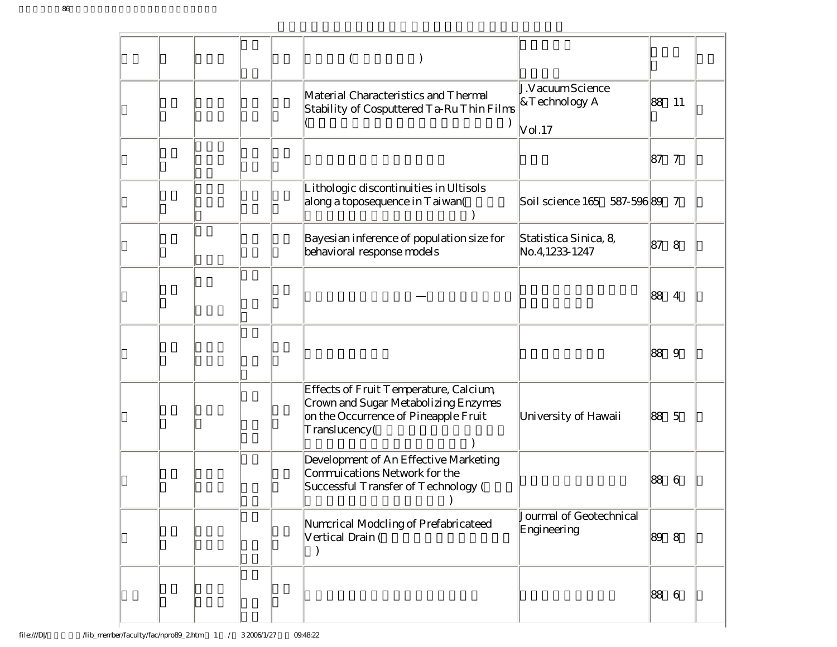| J.VacuumScience<br>Material Characteristics and Thermal<br>&Technology A<br>Stability of Cosputtered Ta-Ru Thin Films<br>Vol. 17                                | 88<br>11             |
|-----------------------------------------------------------------------------------------------------------------------------------------------------------------|----------------------|
|                                                                                                                                                                 | 87<br>$\tau$         |
| Lithologic discontinuities in Ultisols<br>along a toposequence in Taiwan(<br>Soil science 165 587-596 89                                                        | 7                    |
| Bayesian inference of population size for<br>Statistica Sinica, 8,<br>behavioral response models<br>No. 4, 1233-1247                                            | 87<br>8              |
|                                                                                                                                                                 | 88<br>4              |
|                                                                                                                                                                 | 88<br>9              |
| Effects of Fruit Temperature, Calcium,<br>Crown and Sugar Metabolizing Enzymes<br>on the Occurrence of Pineapple Fruit<br>University of Hawaii<br>Translucency( | 88<br>$\overline{5}$ |
| Development of An Effective Marketing<br>Commuications Network for the<br>Successful Transfer of Technology (                                                   | 88<br>6              |
| Jourmal of Geotechnical<br>Numcrical Modcling of Prefabricateed<br>Engineering<br>Vertical Drain (<br>$\mathcal{E}$                                             | 89<br>-8             |
|                                                                                                                                                                 | 88<br>6              |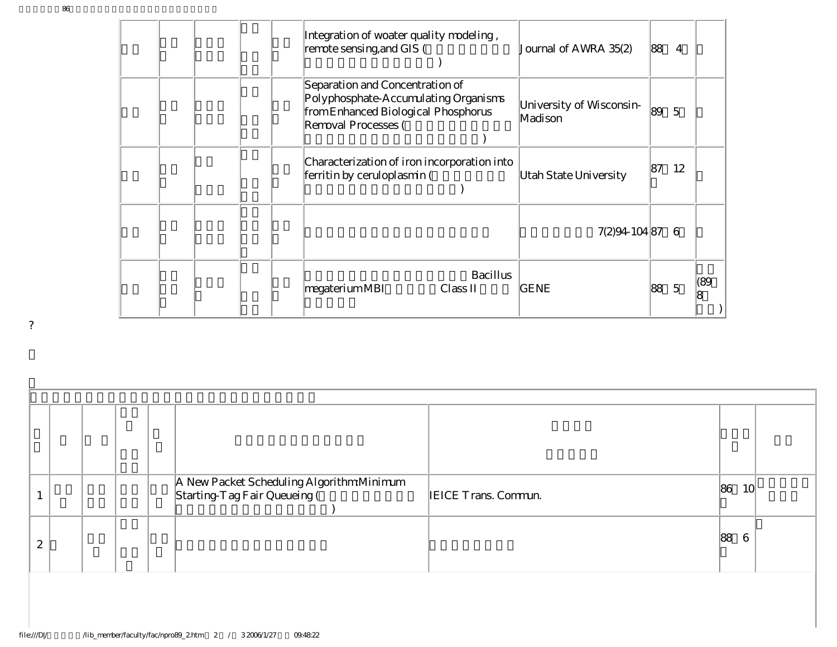|  |  | Integration of woater quality modeling,<br>remote sensing, and GIS (                                                                  |                 | Journal of AWRA 35(2)               | 88 | $\overline{4}$ |           |
|--|--|---------------------------------------------------------------------------------------------------------------------------------------|-----------------|-------------------------------------|----|----------------|-----------|
|  |  | Separation and Concentration of<br>Polyphosphate-Accumulating Organisms<br>from Enhanced Biological Phosphorus<br>Removal Processes ( |                 | University of Wisconsin-<br>Madison | 89 | $\overline{5}$ |           |
|  |  | Characterization of iron incorporation into<br>ferritin by ceruloplasmin (                                                            |                 | Utah State University               | 87 | 12             |           |
|  |  |                                                                                                                                       |                 | 7(2)94-104 87                       |    | 6              |           |
|  |  | megateriumMBI<br>Class II                                                                                                             | <b>Bacillus</b> | GENE                                | 88 | $\overline{5}$ | (89)<br>8 |

| ٠ |
|---|
|   |
| ł |
|   |
|   |

|               |  |  |  |  | A New Packet Scheduling Algorithm Minimum<br>Starting-Tag Fair Queueing ( | <b>IEICE Trans. Commun.</b> | 86<br>10 <sup>l</sup> |  |  |  |  |
|---------------|--|--|--|--|---------------------------------------------------------------------------|-----------------------------|-----------------------|--|--|--|--|
| $\Omega$<br>∼ |  |  |  |  |                                                                           |                             | 88                    |  |  |  |  |